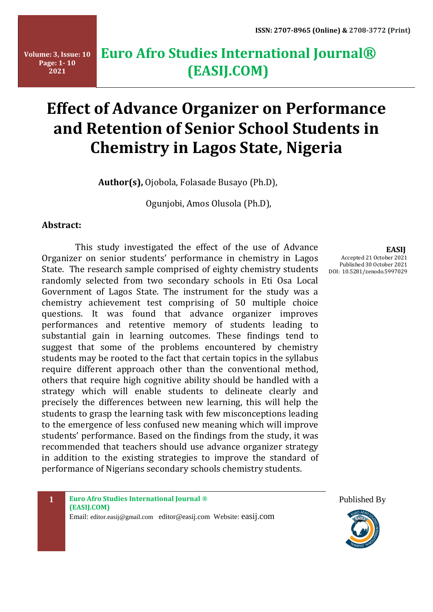# **Euro Afro Studies International Journal® (EASIJ.COM)**

# **Effect of Advance Organizer on Performance and Retention of Senior School Students in Chemistry in Lagos State, Nigeria**

**Author(s),** Ojobola, Folasade Busayo (Ph.D),

Ogunjobi, Amos Olusola (Ph.D),

## **Abstract:**

 This study investigated the effect of the use of Advance Organizer on senior students' performance in chemistry in Lagos State. The research sample comprised of eighty chemistry students randomly selected from two secondary schools in Eti Osa Local Government of Lagos State. The instrument for the study was a chemistry achievement test comprising of 50 multiple choice questions. It was found that advance organizer improves performances and retentive memory of students leading to substantial gain in learning outcomes. These findings tend to suggest that some of the problems encountered by chemistry students may be rooted to the fact that certain topics in the syllabus require different approach other than the conventional method, others that require high cognitive ability should be handled with a strategy which will enable students to delineate clearly and precisely the differences between new learning, this will help the students to grasp the learning task with few misconceptions leading to the emergence of less confused new meaning which will improve students' performance. Based on the findings from the study, it was recommended that teachers should use advance organizer strategy in addition to the existing strategies to improve the standard of performance of Nigerians secondary schools chemistry students.

 **EASIJ**

Accepted 21 October 2021 Published 30 October 2021 DOI: 10.5281/zenodo.5997029

**1 Euro Afro Studies International Journal ® (EASIJ.COM)** Email: editor.easij@gmail.com editor@easij.com Website: easij.com



Published By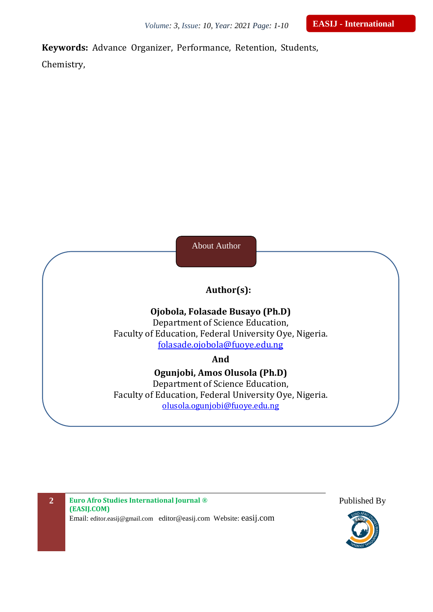**Keywords:** Advance Organizer, Performance, Retention, Students,

Chemistry,

About Author

# **Author(s):**

## **Ojobola, Folasade Busayo (Ph.D)**

Department of Science Education, Faculty of Education, Federal University Oye, Nigeria. [folasade.ojobola@fuoye.edu.ng](mailto:folasade.ojobola@fuoye.edu.ng)

## **And**

# **Ogunjobi, Amos Olusola (Ph.D)** Department of Science Education, Faculty of Education, Federal University Oye, Nigeria. [olusola.ogunjobi@fuoye.edu.ng](mailto:olusola.ogunjobi@fuoye.edu.ng)

**2 Euro Afro Studies International Journal ® (EASIJ.COM)** Email: editor.easij@gmail.com editor@easij.com Website: easij.com



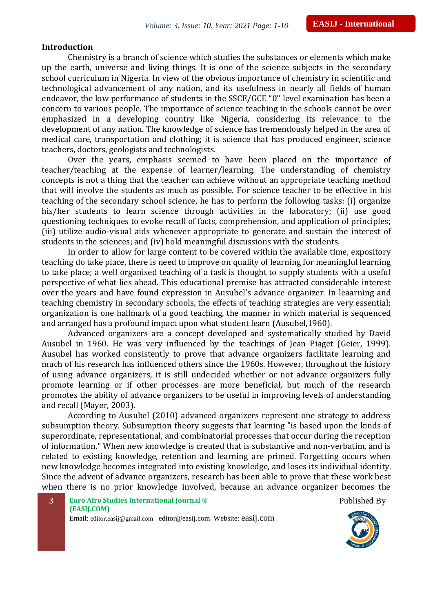#### **Introduction**

Chemistry is a branch of science which studies the substances or elements which make up the earth, universe and living things. It is one of the science subjects in the secondary school curriculum in Nigeria. In view of the obvious importance of chemistry in scientific and technological advancement of any nation, and its usefulness in nearly all fields of human endeavor, the low performance of students in the SSCE/GCE "0'' level examination has been a concern to various people. The importance of science teaching in the schools cannot be over emphasized in a developing country like Nigeria, considering its relevance to the development of any nation. The knowledge of science has tremendously helped in the area of medical care, transportation and clothing; it is science that has produced engineer, science teachers, doctors, geologists and technologists.

Over the years, emphasis seemed to have been placed on the importance of teacher/teaching at the expense of learner/learning. The understanding of chemistry concepts is not a thing that the teacher can achieve without an appropriate teaching method that will involve the students as much as possible. For science teacher to be effective in his teaching of the secondary school science, he has to perform the following tasks: (i) organize his/her students to learn science through activities in the laboratory; (ii) use good questioning techniques to evoke recall of facts, comprehension, and application of principles; (iii) utilize audio-visual aids whenever appropriate to generate and sustain the interest of students in the sciences; and (iv) hold meaningful discussions with the students.

In order to allow for large content to be covered within the available time, expository teaching do take place, there is need to improve on quality of learning for meaningful learning to take place; a well organised teaching of a task is thought to supply students with a useful perspective of what lies ahead. This educational premise has attracted considerable interest over the years and have found expression in Ausubel's advance organizer. In leaarning and teaching chemistry in secondary schools, the effects of teaching strategies are very essential; organization is one hallmark of a good teaching, the manner in which material is sequenced and arranged has a profound impact upon what student learn (Ausubel,1960).

Advanced organizers are a concept developed and systematically studied by [David](http://wik.ed.uiuc.edu/index.php/David_Ausubel) [Ausubel](http://wik.ed.uiuc.edu/index.php/David_Ausubel) in 1960. He was very influenced by the teachings of Jean Piaget (Geier, 1999). Ausubel has worked consistently to prove that advance organizers facilitate learning and much of his research has influenced others since the 1960s. However, throughout the history of using advance organizers, it is still undecided whether or not advance organizers fully promote learning or if other processes are more beneficial, but much of the research promotes the ability of advance organizers to be useful in improving levels of understanding and recall (Mayer, 2003).

According to Ausubel (2010) advanced organizers represent one strategy to address subsumption theory. Subsumption theory suggests that learning "is based upon the kinds of superordinate, representational, and combinatorial processes that occur during the reception of information." When new knowledge is created that is substantive and non-verbatim, and is related to existing knowledge, retention and learning are primed. Forgetting occurs when new knowledge becomes integrated into existing knowledge, and loses its individual identity. Since the advent of advance organizers, research has been able to prove that these work best when there is no prior knowledge involved, because an advance organizer becomes the

**3 Euro Afro Studies International Journal ® (EASIJ.COM)** Email: editor.easij@gmail.com editor@easij.com Website: easij.com



Published By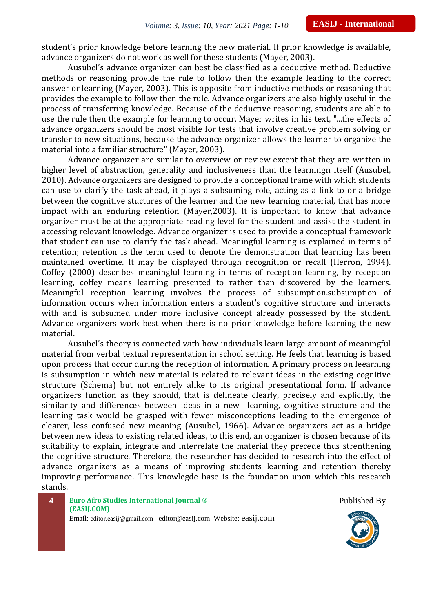student's prior knowledge before learning the new material. If prior knowledge is available, advance organizers do not work as well for these students (Mayer, 2003).

Ausubel's advance organizer can best be classified as a deductive method. Deductive methods or reasoning provide the rule to follow then the example leading to the correct answer or learning (Mayer, 2003). This is opposite from inductive methods or reasoning that provides the example to follow then the rule. Advance organizers are also highly useful in the process of transferring knowledge. Because of the deductive reasoning, students are able to use the rule then the example for learning to occur. Mayer writes in his text, "...the effects of advance organizers should be most visible for tests that involve creative problem solving or transfer to new situations, because the advance organizer allows the learner to organize the material into a familiar structure" (Mayer, 2003).

Advance organizer are similar to overview or review except that they are written in higher level of abstraction, generality and inclusiveness than the learningn itself (Ausubel, 2010). Advance organizers are designed to provide a conceptional frame with which students can use to clarify the task ahead, it plays a subsuming role, acting as a link to or a bridge between the cognitive stuctures of the learner and the new learning material, that has more impact with an enduring retention (Mayer,2003). It is important to know that advance organizer must be at the appropriate reading level for the student and assist the student in accessing relevant knowledge. Advance organizer is used to provide a conceptual framework that student can use to clarify the task ahead. Meaningful learning is explained in terms of retention; retention is the term used to denote the demonstration that learning has been maintained overtime. It may be displayed through recognition or recall (Herron, 1994). Coffey (2000) describes meaningful learning in terms of reception learning, by reception learning, coffey means learning presented to rather than discovered by the learners. Meaningful reception learning involves the process of subsumption.subsumption of information occurs when information enters a student's cognitive structure and interacts with and is subsumed under more inclusive concept already possessed by the student. Advance organizers work best when there is no prior knowledge before learning the new material.

Ausubel's theory is connected with how individuals learn large amount of meaningful material from verbal textual representation in school setting. He feels that learning is based upon process that occur during the reception of information. A primary process on leearning is subsumption in which new material is related to relevant ideas in the existing cognitive structure (Schema) but not entirely alike to its original presentational form. If advance organizers function as they should, that is delineate clearly, precisely and explicitly, the similarity and differences between ideas in a new learning, cognitive structure and the learning task would be grasped with fewer misconceptions leading to the emergence of clearer, less confused new meaning (Ausubel, 1966). Advance organizers act as a bridge between new ideas to existing related ideas, to this end, an organizer is chosen because of its suitability to explain, integrate and interrelate the material they precede thus strenthening the cognitive structure. Therefore, the researcher has decided to research into the effect of advance organizers as a means of improving students learning and retention thereby improving performance. This knowlegde base is the foundation upon which this research stands.



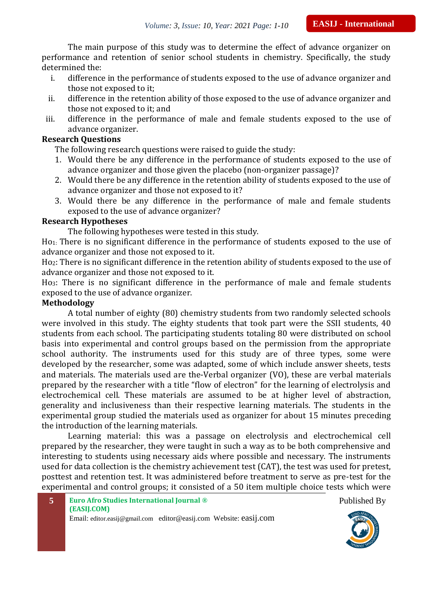The main purpose of this study was to determine the effect of advance organizer on performance and retention of senior school students in chemistry. Specifically, the study determined the:

- i. difference in the performance of students exposed to the use of advance organizer and those not exposed to it;
- ii. difference in the retention ability of those exposed to the use of advance organizer and those not exposed to it; and
- iii. difference in the performance of male and female students exposed to the use of advance organizer.

### **Research Questions**

The following research questions were raised to guide the study:

- 1. Would there be any difference in the performance of students exposed to the use of advance organizer and those given the placebo (non-organizer passage)?
- 2. Would there be any difference in the retention ability of students exposed to the use of advance organizer and those not exposed to it?
- 3. Would there be any difference in the performance of male and female students exposed to the use of advance organizer?

### **Research Hypotheses**

The following hypotheses were tested in this study.

Ho1: There is no significant difference in the performance of students exposed to the use of advance organizer and those not exposed to it.

Ho2: There is no significant difference in the retention ability of students exposed to the use of advance organizer and those not exposed to it.

Ho3: There is no significant difference in the performance of male and female students exposed to the use of advance organizer.

#### **Methodology**

A total number of eighty (80) chemistry students from two randomly selected schools were involved in this study. The eighty students that took part were the SSII students, 40 students from each school. The participating students totaling 80 were distributed on school basis into experimental and control groups based on the permission from the appropriate school authority. The instruments used for this study are of three types, some were developed by the researcher, some was adapted, some of which include answer sheets, tests and materials. The materials used are the-Verbal organizer (VO), these are verbal materials prepared by the researcher with a title "flow of electron" for the learning of electrolysis and electrochemical cell. These materials are assumed to be at higher level of abstraction, generality and inclusiveness than their respective learning materials. The students in the experimental group studied the materials used as organizer for about 15 minutes preceding the introduction of the learning materials.

Learning material: this was a passage on electrolysis and electrochemical cell prepared by the researcher, they were taught in such a way as to be both comprehensive and interesting to students using necessary aids where possible and necessary. The instruments used for data collection is the chemistry achievement test (CAT), the test was used for pretest, posttest and retention test. It was administered before treatment to serve as pre-test for the experimental and control groups; it consisted of a 50 item multiple choice tests which were

Published By

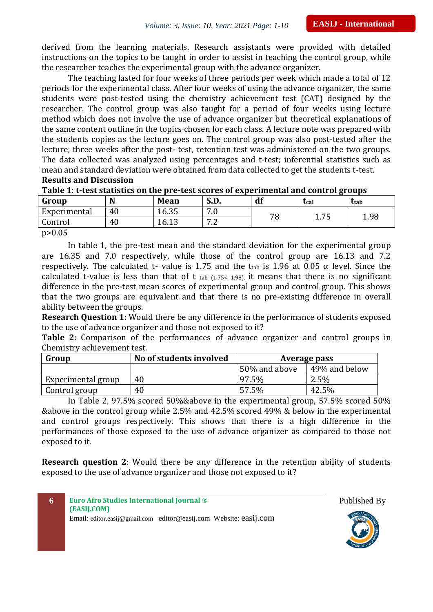derived from the learning materials. Research assistants were provided with detailed instructions on the topics to be taught in order to assist in teaching the control group, while the researcher teaches the experimental group with the advance organizer.

The teaching lasted for four weeks of three periods per week which made a total of 12 periods for the experimental class. After four weeks of using the advance organizer, the same students were post-tested using the chemistry achievement test (CAT) designed by the researcher. The control group was also taught for a period of four weeks using lecture method which does not involve the use of advance organizer but theoretical explanations of the same content outline in the topics chosen for each class. A lecture note was prepared with the students copies as the lecture goes on. The control group was also post-tested after the lecture; three weeks after the post- test, retention test was administered on the two groups. The data collected was analyzed using percentages and t-test; inferential statistics such as mean and standard deviation were obtained from data collected to get the students t-test. **Results and Discussion**

#### **Table 1**: **t-test statistics on the pre-test scores of experimental and control groups**

| Group                | N  | <b>Mean</b>     | S.D.                                 | df | tcal   | <b>t</b> tab |
|----------------------|----|-----------------|--------------------------------------|----|--------|--------------|
| Experimental         | 40 | 16.35           | $\sim$ $\sim$<br>י י                 | 70 | 75     | 1.98         |
| Control              | 40 | $\sim$<br>16.13 | $\overline{ }$ $\overline{ }$<br>. . | O  | 1. / J |              |
| $\sim$ $\sim$ $\sim$ |    |                 |                                      |    |        |              |

p>0.05

In table 1, the pre-test mean and the standard deviation for the experimental group are 16.35 and 7.0 respectively, while those of the control group are 16.13 and 7.2 respectively. The calculated t- value is 1.75 and the t<sub>tab</sub> is 1.96 at 0.05  $\alpha$  level. Since the calculated t-value is less than that of t tab  $(1.75< 1.98)$ , it means that there is no significant difference in the pre-test mean scores of experimental group and control group. This shows that the two groups are equivalent and that there is no pre-existing difference in overall ability between the groups.

**Research Question 1:** Would there be any difference in the performance of students exposed to the use of advance organizer and those not exposed to it?

**Table 2**: Comparison of the performances of advance organizer and control groups in Chemistry achievement test.

| Group              | No of students involved | Average pass  |               |
|--------------------|-------------------------|---------------|---------------|
|                    |                         | 50% and above | 49% and below |
| Experimental group | 40                      | 97.5%         | $2.5\%$       |
| Control group      | 40                      | 57.5%         | 42.5%         |

In Table 2, 97.5% scored 50%&above in the experimental group, 57.5% scored 50% &above in the control group while 2.5% and 42.5% scored 49% & below in the experimental and control groups respectively. This shows that there is a high difference in the performances of those exposed to the use of advance organizer as compared to those not exposed to it.

**Research question 2**: Would there be any difference in the retention ability of students exposed to the use of advance organizer and those not exposed to it?



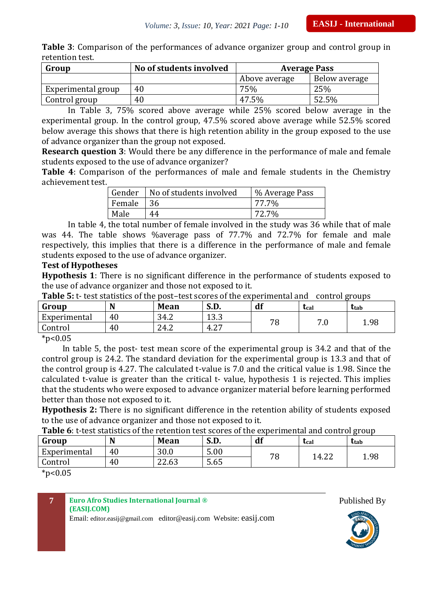|                 |  | Table 3: Comparison of the performances of advance organizer group and control group in |  |  |  |  |
|-----------------|--|-----------------------------------------------------------------------------------------|--|--|--|--|
| retention test. |  |                                                                                         |  |  |  |  |

| Group              | No of students involved | <b>Average Pass</b> |               |
|--------------------|-------------------------|---------------------|---------------|
|                    |                         | Above average       | Below average |
| Experimental group | 40                      | 75%                 | 25%           |
| Control group      | 40                      | 47.5%               | 52.5%         |

In Table 3, 75% scored above average while 25% scored below average in the experimental group. In the control group, 47.5% scored above average while 52.5% scored below average this shows that there is high retention ability in the group exposed to the use of advance organizer than the group not exposed.

**Research question 3**: Would there be any difference in the performance of male and female students exposed to the use of advance organizer?

**Table 4**: Comparison of the performances of male and female students in the Chemistry achievement test.

|           | Gender   No of students involved | % Average Pass |
|-----------|----------------------------------|----------------|
| Female 36 |                                  | 77.7%          |
| Male      | 44                               | 72.7%          |

In table 4, the total number of female involved in the study was 36 while that of male was 44. The table shows %average pass of 77.7% and 72.7% for female and male respectively, this implies that there is a difference in the performance of male and female students exposed to the use of advance organizer.

#### **Test of Hypotheses**

**Hypothesis 1**: There is no significant difference in the performance of students exposed to the use of advance organizer and those not exposed to it.

| Group                       | N  | <b>Mean</b> | cг<br>S.D.     | df | Ucal      | ttab |
|-----------------------------|----|-------------|----------------|----|-----------|------|
| Experimental                | 40 | 34.2        | າ າ າ<br>טוט ב | 70 | 70<br>7.U | 1.98 |
| Control                     | 40 | 24.2        | ר ר<br>4.2.    | Ο  |           |      |
| $\sim$ $\sim$ $\sim$ $\sim$ |    |             |                |    |           |      |

 $*p<0.05$ 

In table 5, the post- test mean score of the experimental group is 34.2 and that of the control group is 24.2. The standard deviation for the experimental group is 13.3 and that of the control group is 4.27. The calculated t-value is 7.0 and the critical value is 1.98. Since the calculated t-value is greater than the critical t- value, hypothesis 1 is rejected. This implies that the students who were exposed to advance organizer material before learning performed better than those not exposed to it.

**Hypothesis 2:** There is no significant difference in the retention ability of students exposed to the use of advance organizer and those not exposed to it.

**Table 6**: t-test statistics of the retention test scores of the experimental and control group

| Group                        | N  | Mean  | S.D. | df           | Lcal  | ttab |
|------------------------------|----|-------|------|--------------|-------|------|
| Experimental                 | 40 | 30.0  | 5.00 | 70           | 14.22 |      |
| Control                      | 40 | 22.63 | 5.65 | $\mathbf{o}$ |       | 1.98 |
| als.<br>$\sim$ $\sim$ $\sim$ |    |       |      |              |       |      |

 $*p<0.05$ 

#### **7 Euro Afro Studies International Journal ® (EASIJ.COM)**

Email: editor.easij@gmail.com editor@easij.com Website: easij.com



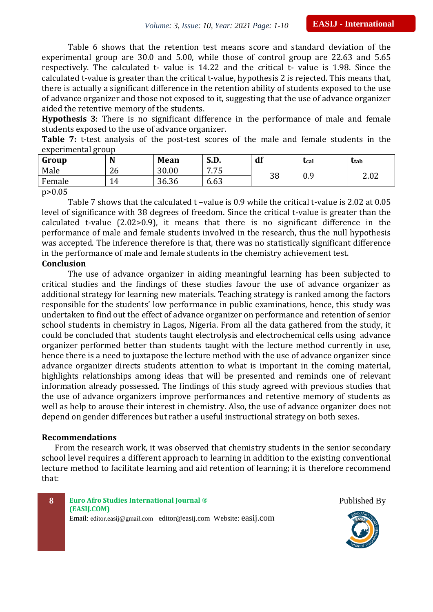Table 6 shows that the retention test means score and standard deviation of the experimental group are 30.0 and 5.00, while those of control group are 22.63 and 5.65 respectively. The calculated t- value is 14.22 and the critical t- value is 1.98. Since the calculated t-value is greater than the critical t-value, hypothesis 2 is rejected. This means that, there is actually a significant difference in the retention ability of students exposed to the use of advance organizer and those not exposed to it, suggesting that the use of advance organizer aided the retentive memory of the students.

**Hypothesis 3**: There is no significant difference in the performance of male and female students exposed to the use of advance organizer.

**Table 7:** t-test analysis of the post-test scores of the male and female students in the experimental group

| Group  | N  | <b>Mean</b> | S.D. | df | <b>L</b> cal | ttab |
|--------|----|-------------|------|----|--------------|------|
| Male   | 26 | 30.00       | 775  | 38 |              | 2.02 |
| Female | 4  | 36.36       | 6.63 |    | 0.9          |      |

p>0.05

Table 7 shows that the calculated t –value is 0.9 while the critical t-value is 2.02 at 0.05 level of significance with 38 degrees of freedom. Since the critical t-value is greater than the calculated t-value (2.02>0.9), it means that there is no significant difference in the performance of male and female students involved in the research, thus the null hypothesis was accepted. The inference therefore is that, there was no statistically significant difference in the performance of male and female students in the chemistry achievement test.

#### **Conclusion**

The use of advance organizer in aiding meaningful learning has been subjected to critical studies and the findings of these studies favour the use of advance organizer as additional strategy for learning new materials. Teaching strategy is ranked among the factors responsible for the students' low performance in public examinations, hence, this study was undertaken to find out the effect of advance organizer on performance and retention of senior school students in chemistry in Lagos, Nigeria. From all the data gathered from the study, it could be concluded that students taught electrolysis and electrochemical cells using advance organizer performed better than students taught with the lecture method currently in use, hence there is a need to juxtapose the lecture method with the use of advance organizer since advance organizer directs students attention to what is important in the coming material, highlights relationships among ideas that will be presented and reminds one of relevant information already possessed. The findings of this study agreed with previous studies that the use of advance organizers improve performances and retentive memory of students as well as help to arouse their interest in chemistry. Also, the use of advance organizer does not depend on gender differences but rather a useful instructional strategy on both sexes.

#### **Recommendations**

From the research work, it was observed that chemistry students in the senior secondary school level requires a different approach to learning in addition to the existing conventional lecture method to facilitate learning and aid retention of learning; it is therefore recommend that:





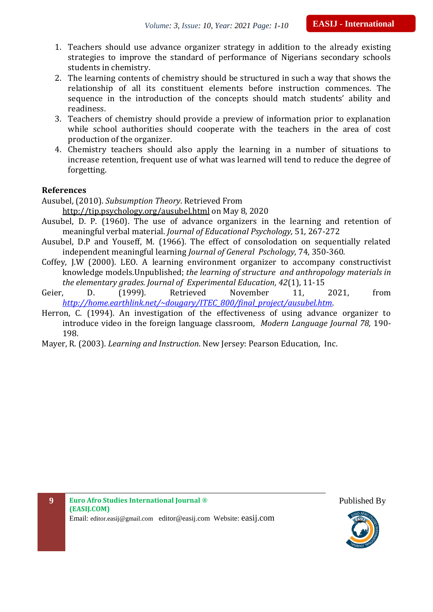- 1. Teachers should use advance organizer strategy in addition to the already existing strategies to improve the standard of performance of Nigerians secondary schools students in chemistry.
- 2. The learning contents of chemistry should be structured in such a way that shows the relationship of all its constituent elements before instruction commences. The sequence in the introduction of the concepts should match students' ability and readiness.
- 3. Teachers of chemistry should provide a preview of information prior to explanation while school authorities should cooperate with the teachers in the area of cost production of the organizer.
- 4. Chemistry teachers should also apply the learning in a number of situations to increase retention, frequent use of what was learned will tend to reduce the degree of forgetting.

#### **References**

Ausubel, (2010). *Subsumption Theory*. Retrieved From

- http://tip.psychology.org/ausubel.html on May 8, 2020
- Ausubel, D. P. (1960). The use of advance organizers in the learning and retention of meaningful verbal material. *Journal of Educational Psychology,* 51, 267-272
- Ausubel, D.P and Youseff, M. (1966). The effect of consolodation on sequentially related independent meaningful learning *Journal of General Pschology,* 74, 350-360*.*
- Coffey, J.W (2000). LEO. A learning environment organizer to accompany constructivist knowledge models.Unpublished; *the learning of structure and anthropology materials in the elementary grades. Journal of Experimental Education, 42*(1), 11-15
- Geier, D. (1999). Retrieved November 11, 2021, from *[http://home.earthlink.net/~dougary/ITEC\\_800/final\\_project/ausubel.htm.](http://home.earthlink.net/~dougary/ITEC_800/final_project/ausubel.htm)*
- Herron, C. (1994). An investigation of the effectiveness of using advance organizer to introduce video in the foreign language classroom, *Modern Language Journal 78,* 190- 198.
- Mayer, R. (2003). *Learning and Instruction*. New Jersey: Pearson Education, Inc.